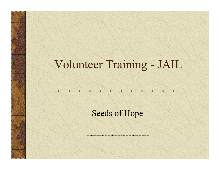# Volunteer Training - JAIL

#### Seeds of Hope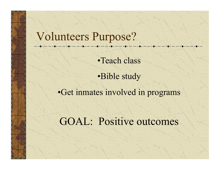#### Volunteers Purpose?

•Teach class

•Bible study

•Get inmates involved in programs

GOAL: Positive outcomes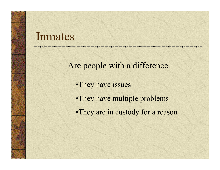#### Inmates

Are people with a difference.

- •They have issues
- •They have multiple problems
- •They are in custody for a reason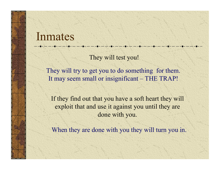#### Inmates

They will test you!

They will try to get you to do something for them. It may seem small or insignificant – THE TRAP!

If they find out that you have a soft heart they will exploit that and use it against you until they are done with you.

When they are done with you they will turn you in.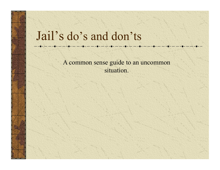## Jail's do's and don'ts

A common sense guide to an uncommon situation.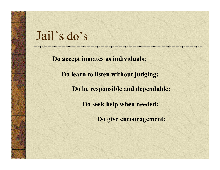## Jail's do's

**Do accept inmates as individuals:**

**Do learn to listen without judging:**

**Do be responsible and dependable:**

**Do seek help when needed:**

**Do give encouragement:**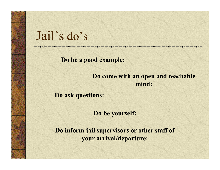## Jail's do's

**Do be a good example:**

**Do come with an open and teachable mind:**

**Do ask questions:**

**Do be yourself:**

**Do inform jail supervisors or other staff of your arrival/departure:**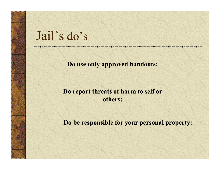## Jail's do's

**Do use only approved handouts:**

#### **Do report threats of harm to self or others:**

**Do be responsible for your personal property:**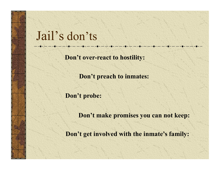## Jail's don'ts

**Don't over-react to hostility:**

**Don't preach to inmates:**

**Don't probe:**

**Don't make promises you can not keep:**

**Don't get involved with the inmate's family:**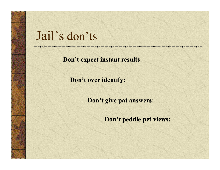## Jail's don'ts

**Don't expect instant results:**

**Don't over identify:**

**Don't give pat answers:**

**Don't peddle pet views:**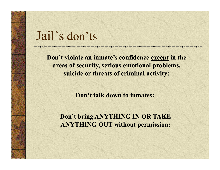### Jail's don'ts

**Don't violate an inmate's confidence except in the areas of security, serious emotional problems, suicide or threats of criminal activity:**

**Don't talk down to inmates:** 

**Don't bring ANYTHING IN OR TAKE ANYTHING OUT without permission:**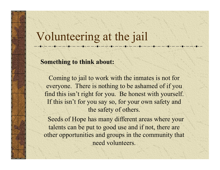#### Volunteering at the jail

#### **Something to think about:**

Coming to jail to work with the inmates is not for everyone. There is nothing to be ashamed of if you find this isn't right for you. Be honest with yourself. If this isn't for you say so, for your own safety and the safety of others.

 Seeds of Hope has many different areas where your talents can be put to good use and if not, there are other opportunities and groups in the community that need volunteers.